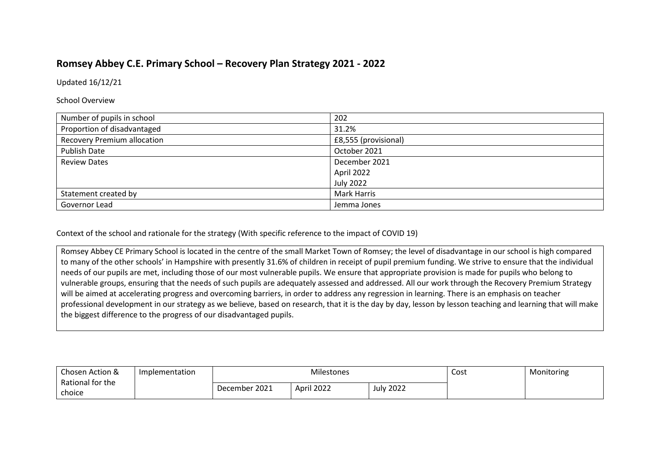## **Romsey Abbey C.E. Primary School – Recovery Plan Strategy 2021 - 2022**

Updated 16/12/21

School Overview

| Number of pupils in school         | 202                  |
|------------------------------------|----------------------|
| Proportion of disadvantaged        | 31.2%                |
| <b>Recovery Premium allocation</b> | £8,555 (provisional) |
| <b>Publish Date</b>                | October 2021         |
| <b>Review Dates</b>                | December 2021        |
|                                    | April 2022           |
|                                    | <b>July 2022</b>     |
| Statement created by               | <b>Mark Harris</b>   |
| Governor Lead                      | Jemma Jones          |

Context of the school and rationale for the strategy (With specific reference to the impact of COVID 19)

Romsey Abbey CE Primary School is located in the centre of the small Market Town of Romsey; the level of disadvantage in our school is high compared to many of the other schools' in Hampshire with presently 31.6% of children in receipt of pupil premium funding. We strive to ensure that the individual needs of our pupils are met, including those of our most vulnerable pupils. We ensure that appropriate provision is made for pupils who belong to vulnerable groups, ensuring that the needs of such pupils are adequately assessed and addressed. All our work through the Recovery Premium Strategy will be aimed at accelerating progress and overcoming barriers, in order to address any regression in learning. There is an emphasis on teacher professional development in our strategy as we believe, based on research, that it is the day by day, lesson by lesson teaching and learning that will make the biggest difference to the progress of our disadvantaged pupils.

| Chosen Action &  | Implementation | Milestones    |            |               | Cost | Monitoring |
|------------------|----------------|---------------|------------|---------------|------|------------|
| Rational for the |                | December 2021 | April 2022 | '2022<br>July |      |            |
| choice           |                |               |            |               |      |            |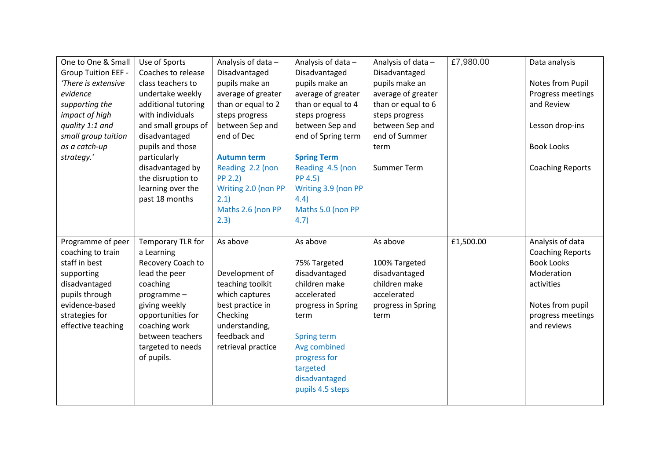| One to One & Small         | Use of Sports       | Analysis of data -  | Analysis of data -  | Analysis of data - | £7,980.00 | Data analysis           |
|----------------------------|---------------------|---------------------|---------------------|--------------------|-----------|-------------------------|
| <b>Group Tuition EEF -</b> | Coaches to release  | Disadvantaged       | Disadvantaged       | Disadvantaged      |           |                         |
| There is extensive         | class teachers to   | pupils make an      | pupils make an      | pupils make an     |           | Notes from Pupil        |
| evidence                   | undertake weekly    | average of greater  | average of greater  | average of greater |           | Progress meetings       |
| supporting the             | additional tutoring | than or equal to 2  | than or equal to 4  | than or equal to 6 |           | and Review              |
| impact of high             | with individuals    | steps progress      | steps progress      | steps progress     |           |                         |
| quality 1:1 and            | and small groups of | between Sep and     | between Sep and     | between Sep and    |           | Lesson drop-ins         |
| small group tuition        | disadvantaged       | end of Dec          | end of Spring term  | end of Summer      |           |                         |
| as a catch-up              | pupils and those    |                     |                     | term               |           | <b>Book Looks</b>       |
| strategy.'                 | particularly        | <b>Autumn term</b>  | <b>Spring Term</b>  |                    |           |                         |
|                            | disadvantaged by    | Reading 2.2 (non    | Reading 4.5 (non    | Summer Term        |           | <b>Coaching Reports</b> |
|                            | the disruption to   | <b>PP 2.2)</b>      | PP 4.5)             |                    |           |                         |
|                            | learning over the   | Writing 2.0 (non PP | Writing 3.9 (non PP |                    |           |                         |
|                            | past 18 months      | 2.1)                | 4.4)                |                    |           |                         |
|                            |                     | Maths 2.6 (non PP   | Maths 5.0 (non PP   |                    |           |                         |
|                            |                     | 2.3)                | 4.7)                |                    |           |                         |
|                            |                     |                     |                     |                    |           |                         |
|                            |                     |                     |                     |                    |           |                         |
| Programme of peer          | Temporary TLR for   | As above            | As above            | As above           | £1,500.00 | Analysis of data        |
| coaching to train          | a Learning          |                     |                     |                    |           | <b>Coaching Reports</b> |
| staff in best              | Recovery Coach to   |                     | 75% Targeted        | 100% Targeted      |           | <b>Book Looks</b>       |
| supporting                 | lead the peer       | Development of      | disadvantaged       | disadvantaged      |           | Moderation              |
| disadvantaged              | coaching            | teaching toolkit    | children make       | children make      |           | activities              |
| pupils through             | programme-          | which captures      | accelerated         | accelerated        |           |                         |
| evidence-based             | giving weekly       | best practice in    | progress in Spring  | progress in Spring |           | Notes from pupil        |
| strategies for             | opportunities for   | Checking            | term                | term               |           | progress meetings       |
| effective teaching         | coaching work       | understanding,      |                     |                    |           | and reviews             |
|                            | between teachers    | feedback and        | Spring term         |                    |           |                         |
|                            | targeted to needs   | retrieval practice  | Avg combined        |                    |           |                         |
|                            | of pupils.          |                     | progress for        |                    |           |                         |
|                            |                     |                     | targeted            |                    |           |                         |
|                            |                     |                     | disadvantaged       |                    |           |                         |
|                            |                     |                     | pupils 4.5 steps    |                    |           |                         |